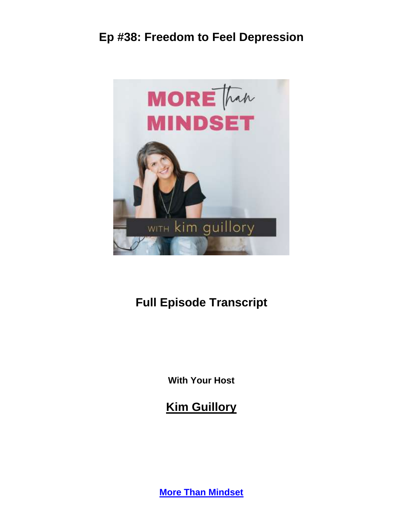

# **Full Episode Transcript**

**With Your Host**

**Kim Guillory**

**More Than [Mindset](https://kimguillory.com/podcast)**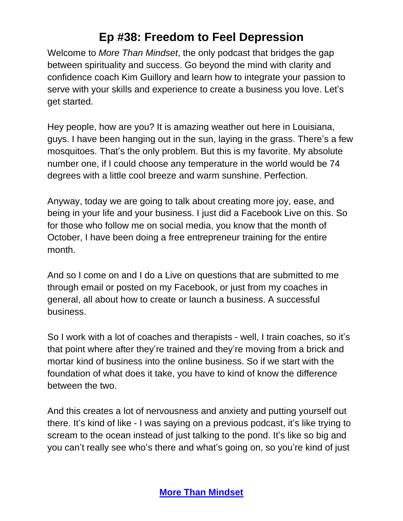Welcome to *More Than Mindset*, the only podcast that bridges the gap between spirituality and success. Go beyond the mind with clarity and confidence coach Kim Guillory and learn how to integrate your passion to serve with your skills and experience to create a business you love. Let's get started.

Hey people, how are you? It is amazing weather out here in Louisiana, guys. I have been hanging out in the sun, laying in the grass. There's a few mosquitoes. That's the only problem. But this is my favorite. My absolute number one, if I could choose any temperature in the world would be 74 degrees with a little cool breeze and warm sunshine. Perfection.

Anyway, today we are going to talk about creating more joy, ease, and being in your life and your business. I just did a Facebook Live on this. So for those who follow me on social media, you know that the month of October, I have been doing a free entrepreneur training for the entire month.

And so I come on and I do a Live on questions that are submitted to me through email or posted on my Facebook, or just from my coaches in general, all about how to create or launch a business. A successful business.

So I work with a lot of coaches and therapists - well, I train coaches, so it's that point where after they're trained and they're moving from a brick and mortar kind of business into the online business. So if we start with the foundation of what does it take, you have to kind of know the difference between the two.

And this creates a lot of nervousness and anxiety and putting yourself out there. It's kind of like - I was saying on a previous podcast, it's like trying to scream to the ocean instead of just talking to the pond. It's like so big and you can't really see who's there and what's going on, so you're kind of just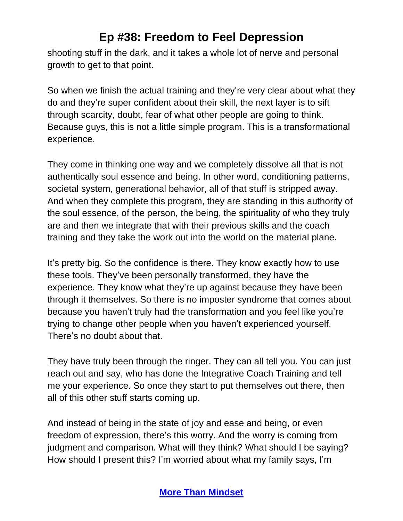shooting stuff in the dark, and it takes a whole lot of nerve and personal growth to get to that point.

So when we finish the actual training and they're very clear about what they do and they're super confident about their skill, the next layer is to sift through scarcity, doubt, fear of what other people are going to think. Because guys, this is not a little simple program. This is a transformational experience.

They come in thinking one way and we completely dissolve all that is not authentically soul essence and being. In other word, conditioning patterns, societal system, generational behavior, all of that stuff is stripped away. And when they complete this program, they are standing in this authority of the soul essence, of the person, the being, the spirituality of who they truly are and then we integrate that with their previous skills and the coach training and they take the work out into the world on the material plane.

It's pretty big. So the confidence is there. They know exactly how to use these tools. They've been personally transformed, they have the experience. They know what they're up against because they have been through it themselves. So there is no imposter syndrome that comes about because you haven't truly had the transformation and you feel like you're trying to change other people when you haven't experienced yourself. There's no doubt about that.

They have truly been through the ringer. They can all tell you. You can just reach out and say, who has done the Integrative Coach Training and tell me your experience. So once they start to put themselves out there, then all of this other stuff starts coming up.

And instead of being in the state of joy and ease and being, or even freedom of expression, there's this worry. And the worry is coming from judgment and comparison. What will they think? What should I be saying? How should I present this? I'm worried about what my family says, I'm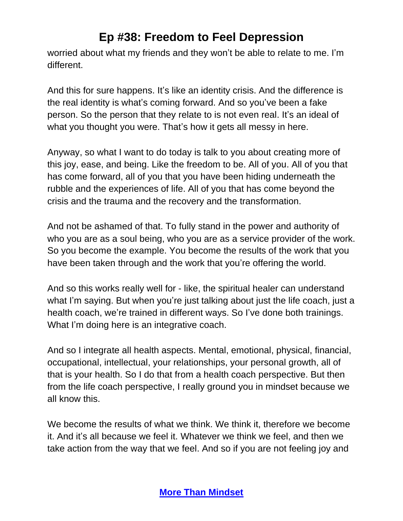worried about what my friends and they won't be able to relate to me. I'm different.

And this for sure happens. It's like an identity crisis. And the difference is the real identity is what's coming forward. And so you've been a fake person. So the person that they relate to is not even real. It's an ideal of what you thought you were. That's how it gets all messy in here.

Anyway, so what I want to do today is talk to you about creating more of this joy, ease, and being. Like the freedom to be. All of you. All of you that has come forward, all of you that you have been hiding underneath the rubble and the experiences of life. All of you that has come beyond the crisis and the trauma and the recovery and the transformation.

And not be ashamed of that. To fully stand in the power and authority of who you are as a soul being, who you are as a service provider of the work. So you become the example. You become the results of the work that you have been taken through and the work that you're offering the world.

And so this works really well for - like, the spiritual healer can understand what I'm saying. But when you're just talking about just the life coach, just a health coach, we're trained in different ways. So I've done both trainings. What I'm doing here is an integrative coach.

And so I integrate all health aspects. Mental, emotional, physical, financial, occupational, intellectual, your relationships, your personal growth, all of that is your health. So I do that from a health coach perspective. But then from the life coach perspective, I really ground you in mindset because we all know this.

We become the results of what we think. We think it, therefore we become it. And it's all because we feel it. Whatever we think we feel, and then we take action from the way that we feel. And so if you are not feeling joy and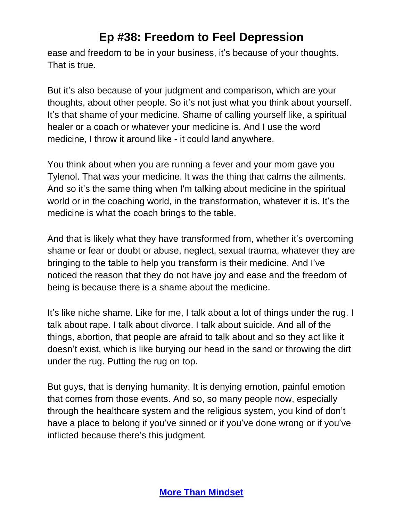ease and freedom to be in your business, it's because of your thoughts. That is true.

But it's also because of your judgment and comparison, which are your thoughts, about other people. So it's not just what you think about yourself. It's that shame of your medicine. Shame of calling yourself like, a spiritual healer or a coach or whatever your medicine is. And I use the word medicine, I throw it around like - it could land anywhere.

You think about when you are running a fever and your mom gave you Tylenol. That was your medicine. It was the thing that calms the ailments. And so it's the same thing when I'm talking about medicine in the spiritual world or in the coaching world, in the transformation, whatever it is. It's the medicine is what the coach brings to the table.

And that is likely what they have transformed from, whether it's overcoming shame or fear or doubt or abuse, neglect, sexual trauma, whatever they are bringing to the table to help you transform is their medicine. And I've noticed the reason that they do not have joy and ease and the freedom of being is because there is a shame about the medicine.

It's like niche shame. Like for me, I talk about a lot of things under the rug. I talk about rape. I talk about divorce. I talk about suicide. And all of the things, abortion, that people are afraid to talk about and so they act like it doesn't exist, which is like burying our head in the sand or throwing the dirt under the rug. Putting the rug on top.

But guys, that is denying humanity. It is denying emotion, painful emotion that comes from those events. And so, so many people now, especially through the healthcare system and the religious system, you kind of don't have a place to belong if you've sinned or if you've done wrong or if you've inflicted because there's this judgment.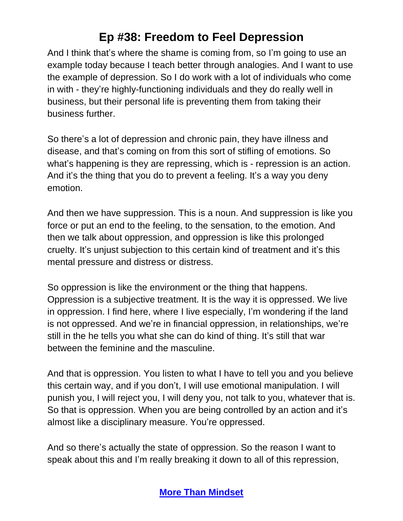And I think that's where the shame is coming from, so I'm going to use an example today because I teach better through analogies. And I want to use the example of depression. So I do work with a lot of individuals who come in with - they're highly-functioning individuals and they do really well in business, but their personal life is preventing them from taking their business further.

So there's a lot of depression and chronic pain, they have illness and disease, and that's coming on from this sort of stifling of emotions. So what's happening is they are repressing, which is - repression is an action. And it's the thing that you do to prevent a feeling. It's a way you deny emotion.

And then we have suppression. This is a noun. And suppression is like you force or put an end to the feeling, to the sensation, to the emotion. And then we talk about oppression, and oppression is like this prolonged cruelty. It's unjust subjection to this certain kind of treatment and it's this mental pressure and distress or distress.

So oppression is like the environment or the thing that happens. Oppression is a subjective treatment. It is the way it is oppressed. We live in oppression. I find here, where I live especially, I'm wondering if the land is not oppressed. And we're in financial oppression, in relationships, we're still in the he tells you what she can do kind of thing. It's still that war between the feminine and the masculine.

And that is oppression. You listen to what I have to tell you and you believe this certain way, and if you don't, I will use emotional manipulation. I will punish you, I will reject you, I will deny you, not talk to you, whatever that is. So that is oppression. When you are being controlled by an action and it's almost like a disciplinary measure. You're oppressed.

And so there's actually the state of oppression. So the reason I want to speak about this and I'm really breaking it down to all of this repression,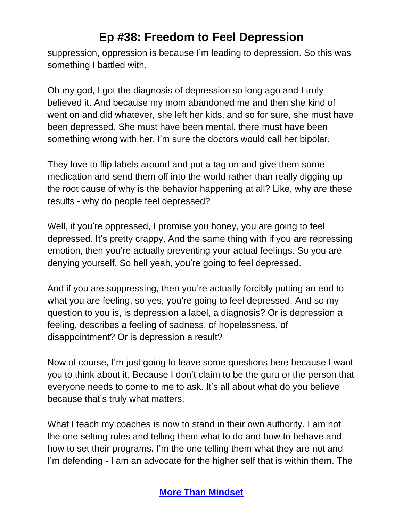suppression, oppression is because I'm leading to depression. So this was something I battled with.

Oh my god, I got the diagnosis of depression so long ago and I truly believed it. And because my mom abandoned me and then she kind of went on and did whatever, she left her kids, and so for sure, she must have been depressed. She must have been mental, there must have been something wrong with her. I'm sure the doctors would call her bipolar.

They love to flip labels around and put a tag on and give them some medication and send them off into the world rather than really digging up the root cause of why is the behavior happening at all? Like, why are these results - why do people feel depressed?

Well, if you're oppressed, I promise you honey, you are going to feel depressed. It's pretty crappy. And the same thing with if you are repressing emotion, then you're actually preventing your actual feelings. So you are denying yourself. So hell yeah, you're going to feel depressed.

And if you are suppressing, then you're actually forcibly putting an end to what you are feeling, so yes, you're going to feel depressed. And so my question to you is, is depression a label, a diagnosis? Or is depression a feeling, describes a feeling of sadness, of hopelessness, of disappointment? Or is depression a result?

Now of course, I'm just going to leave some questions here because I want you to think about it. Because I don't claim to be the guru or the person that everyone needs to come to me to ask. It's all about what do you believe because that's truly what matters.

What I teach my coaches is now to stand in their own authority. I am not the one setting rules and telling them what to do and how to behave and how to set their programs. I'm the one telling them what they are not and I'm defending - I am an advocate for the higher self that is within them. The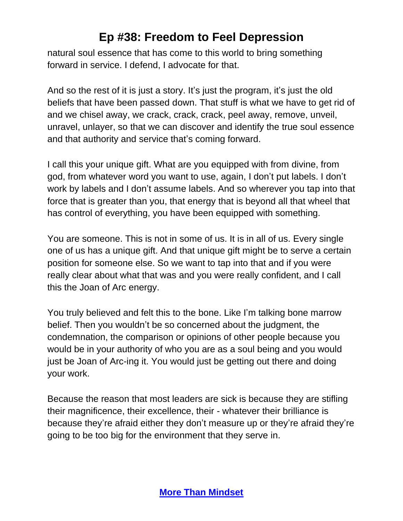natural soul essence that has come to this world to bring something forward in service. I defend, I advocate for that.

And so the rest of it is just a story. It's just the program, it's just the old beliefs that have been passed down. That stuff is what we have to get rid of and we chisel away, we crack, crack, crack, peel away, remove, unveil, unravel, unlayer, so that we can discover and identify the true soul essence and that authority and service that's coming forward.

I call this your unique gift. What are you equipped with from divine, from god, from whatever word you want to use, again, I don't put labels. I don't work by labels and I don't assume labels. And so wherever you tap into that force that is greater than you, that energy that is beyond all that wheel that has control of everything, you have been equipped with something.

You are someone. This is not in some of us. It is in all of us. Every single one of us has a unique gift. And that unique gift might be to serve a certain position for someone else. So we want to tap into that and if you were really clear about what that was and you were really confident, and I call this the Joan of Arc energy.

You truly believed and felt this to the bone. Like I'm talking bone marrow belief. Then you wouldn't be so concerned about the judgment, the condemnation, the comparison or opinions of other people because you would be in your authority of who you are as a soul being and you would just be Joan of Arc-ing it. You would just be getting out there and doing your work.

Because the reason that most leaders are sick is because they are stifling their magnificence, their excellence, their - whatever their brilliance is because they're afraid either they don't measure up or they're afraid they're going to be too big for the environment that they serve in.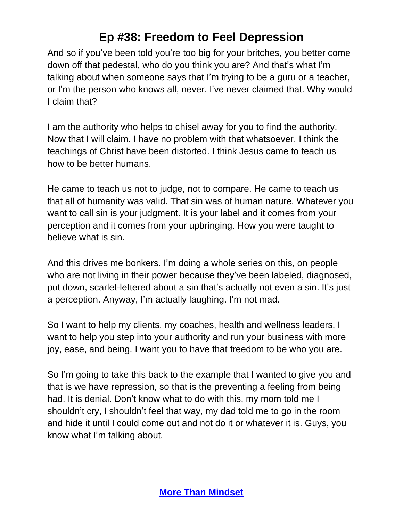And so if you've been told you're too big for your britches, you better come down off that pedestal, who do you think you are? And that's what I'm talking about when someone says that I'm trying to be a guru or a teacher, or I'm the person who knows all, never. I've never claimed that. Why would I claim that?

I am the authority who helps to chisel away for you to find the authority. Now that I will claim. I have no problem with that whatsoever. I think the teachings of Christ have been distorted. I think Jesus came to teach us how to be better humans.

He came to teach us not to judge, not to compare. He came to teach us that all of humanity was valid. That sin was of human nature. Whatever you want to call sin is your judgment. It is your label and it comes from your perception and it comes from your upbringing. How you were taught to believe what is sin.

And this drives me bonkers. I'm doing a whole series on this, on people who are not living in their power because they've been labeled, diagnosed, put down, scarlet-lettered about a sin that's actually not even a sin. It's just a perception. Anyway, I'm actually laughing. I'm not mad.

So I want to help my clients, my coaches, health and wellness leaders, I want to help you step into your authority and run your business with more joy, ease, and being. I want you to have that freedom to be who you are.

So I'm going to take this back to the example that I wanted to give you and that is we have repression, so that is the preventing a feeling from being had. It is denial. Don't know what to do with this, my mom told me I shouldn't cry, I shouldn't feel that way, my dad told me to go in the room and hide it until I could come out and not do it or whatever it is. Guys, you know what I'm talking about.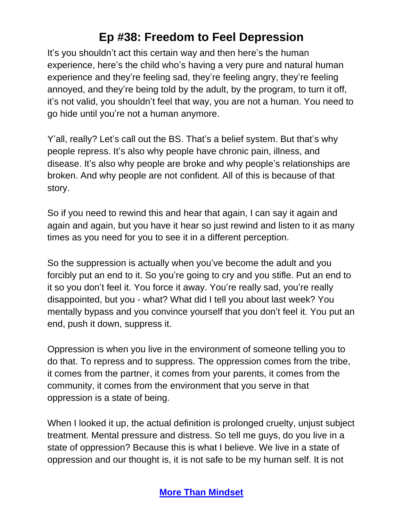It's you shouldn't act this certain way and then here's the human experience, here's the child who's having a very pure and natural human experience and they're feeling sad, they're feeling angry, they're feeling annoyed, and they're being told by the adult, by the program, to turn it off, it's not valid, you shouldn't feel that way, you are not a human. You need to go hide until you're not a human anymore.

Y'all, really? Let's call out the BS. That's a belief system. But that's why people repress. It's also why people have chronic pain, illness, and disease. It's also why people are broke and why people's relationships are broken. And why people are not confident. All of this is because of that story.

So if you need to rewind this and hear that again, I can say it again and again and again, but you have it hear so just rewind and listen to it as many times as you need for you to see it in a different perception.

So the suppression is actually when you've become the adult and you forcibly put an end to it. So you're going to cry and you stifle. Put an end to it so you don't feel it. You force it away. You're really sad, you're really disappointed, but you - what? What did I tell you about last week? You mentally bypass and you convince yourself that you don't feel it. You put an end, push it down, suppress it.

Oppression is when you live in the environment of someone telling you to do that. To repress and to suppress. The oppression comes from the tribe, it comes from the partner, it comes from your parents, it comes from the community, it comes from the environment that you serve in that oppression is a state of being.

When I looked it up, the actual definition is prolonged cruelty, unjust subject treatment. Mental pressure and distress. So tell me guys, do you live in a state of oppression? Because this is what I believe. We live in a state of oppression and our thought is, it is not safe to be my human self. It is not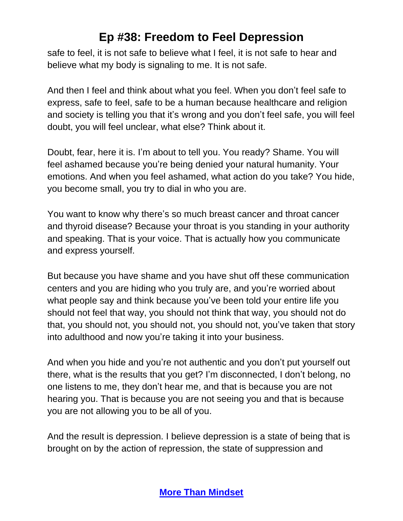safe to feel, it is not safe to believe what I feel, it is not safe to hear and believe what my body is signaling to me. It is not safe.

And then I feel and think about what you feel. When you don't feel safe to express, safe to feel, safe to be a human because healthcare and religion and society is telling you that it's wrong and you don't feel safe, you will feel doubt, you will feel unclear, what else? Think about it.

Doubt, fear, here it is. I'm about to tell you. You ready? Shame. You will feel ashamed because you're being denied your natural humanity. Your emotions. And when you feel ashamed, what action do you take? You hide, you become small, you try to dial in who you are.

You want to know why there's so much breast cancer and throat cancer and thyroid disease? Because your throat is you standing in your authority and speaking. That is your voice. That is actually how you communicate and express yourself.

But because you have shame and you have shut off these communication centers and you are hiding who you truly are, and you're worried about what people say and think because you've been told your entire life you should not feel that way, you should not think that way, you should not do that, you should not, you should not, you should not, you've taken that story into adulthood and now you're taking it into your business.

And when you hide and you're not authentic and you don't put yourself out there, what is the results that you get? I'm disconnected, I don't belong, no one listens to me, they don't hear me, and that is because you are not hearing you. That is because you are not seeing you and that is because you are not allowing you to be all of you.

And the result is depression. I believe depression is a state of being that is brought on by the action of repression, the state of suppression and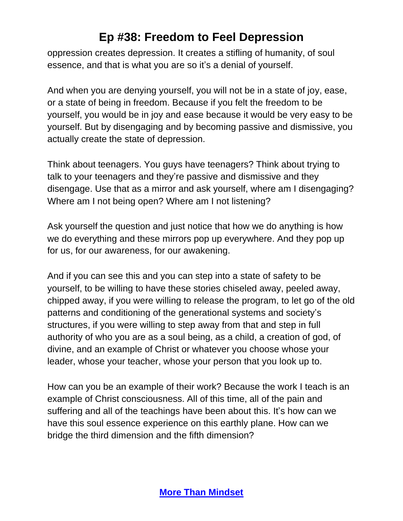oppression creates depression. It creates a stifling of humanity, of soul essence, and that is what you are so it's a denial of yourself.

And when you are denying yourself, you will not be in a state of joy, ease, or a state of being in freedom. Because if you felt the freedom to be yourself, you would be in joy and ease because it would be very easy to be yourself. But by disengaging and by becoming passive and dismissive, you actually create the state of depression.

Think about teenagers. You guys have teenagers? Think about trying to talk to your teenagers and they're passive and dismissive and they disengage. Use that as a mirror and ask yourself, where am I disengaging? Where am I not being open? Where am I not listening?

Ask yourself the question and just notice that how we do anything is how we do everything and these mirrors pop up everywhere. And they pop up for us, for our awareness, for our awakening.

And if you can see this and you can step into a state of safety to be yourself, to be willing to have these stories chiseled away, peeled away, chipped away, if you were willing to release the program, to let go of the old patterns and conditioning of the generational systems and society's structures, if you were willing to step away from that and step in full authority of who you are as a soul being, as a child, a creation of god, of divine, and an example of Christ or whatever you choose whose your leader, whose your teacher, whose your person that you look up to.

How can you be an example of their work? Because the work I teach is an example of Christ consciousness. All of this time, all of the pain and suffering and all of the teachings have been about this. It's how can we have this soul essence experience on this earthly plane. How can we bridge the third dimension and the fifth dimension?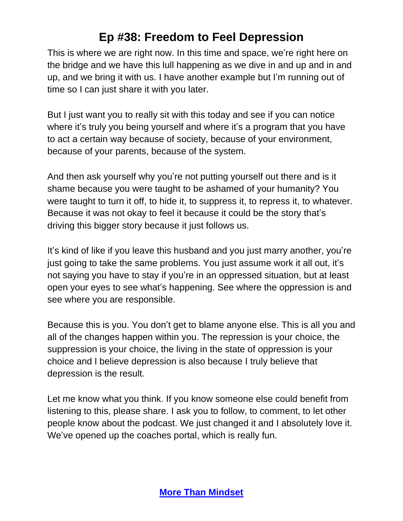This is where we are right now. In this time and space, we're right here on the bridge and we have this lull happening as we dive in and up and in and up, and we bring it with us. I have another example but I'm running out of time so I can just share it with you later.

But I just want you to really sit with this today and see if you can notice where it's truly you being yourself and where it's a program that you have to act a certain way because of society, because of your environment, because of your parents, because of the system.

And then ask yourself why you're not putting yourself out there and is it shame because you were taught to be ashamed of your humanity? You were taught to turn it off, to hide it, to suppress it, to repress it, to whatever. Because it was not okay to feel it because it could be the story that's driving this bigger story because it just follows us.

It's kind of like if you leave this husband and you just marry another, you're just going to take the same problems. You just assume work it all out, it's not saying you have to stay if you're in an oppressed situation, but at least open your eyes to see what's happening. See where the oppression is and see where you are responsible.

Because this is you. You don't get to blame anyone else. This is all you and all of the changes happen within you. The repression is your choice, the suppression is your choice, the living in the state of oppression is your choice and I believe depression is also because I truly believe that depression is the result.

Let me know what you think. If you know someone else could benefit from listening to this, please share. I ask you to follow, to comment, to let other people know about the podcast. We just changed it and I absolutely love it. We've opened up the coaches portal, which is really fun.